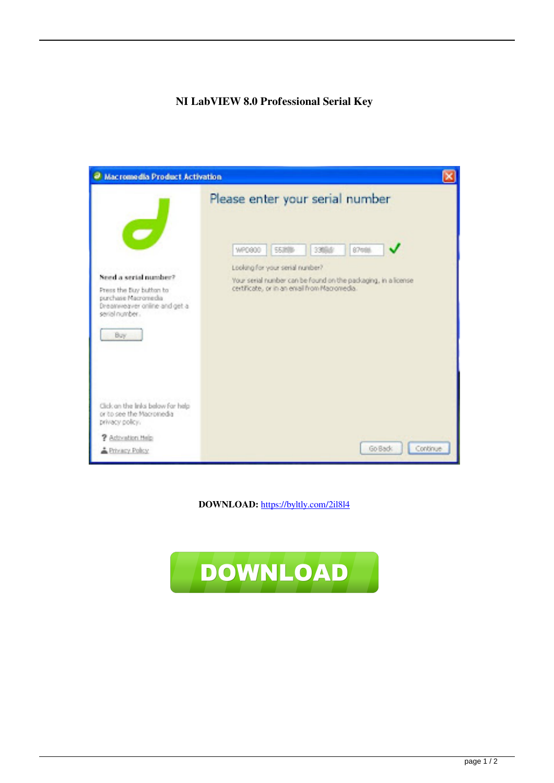## **NI LabVIEW 8.0 Professional Serial Key**

| <sup>2</sup> Macromedia Product Activation                                                                                       |                                                                                                                                                                                                                                          |
|----------------------------------------------------------------------------------------------------------------------------------|------------------------------------------------------------------------------------------------------------------------------------------------------------------------------------------------------------------------------------------|
| Seed a serial number?<br>Press the Buy button to<br>purchase Nacromedia<br>Dreamweaver online and get a<br>seriel number.<br>Buy | Please enter your serial number<br><b>S7mile</b><br>WPD900<br><b>SSIMIL</b><br>3354<br>Looking for your serial number?<br>Your serial number can be found on the packaging, in a license<br>certificate, or in an email from Macromedia. |
| Click on the links below for help<br>or to see the Macronedia<br>privacy policy.                                                 |                                                                                                                                                                                                                                          |
| <b>2</b> Activation Help<br>A Privacy Policy                                                                                     | Go Back<br>Continue                                                                                                                                                                                                                      |

**DOWNLOAD:** <https://byltly.com/2il8l4>